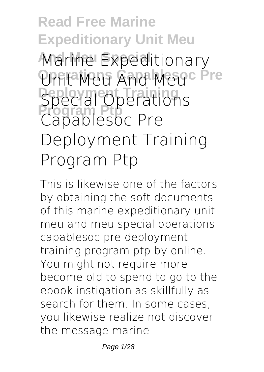# **Read Free Marine Expeditionary Unit Meu And Meu Special Marine Expeditionary Unit Meu And Meuc Pre Special Operations Program Ptp Capablesoc Pre Deployment Training Program Ptp**

This is likewise one of the factors by obtaining the soft documents of this **marine expeditionary unit meu and meu special operations capablesoc pre deployment training program ptp** by online. You might not require more become old to spend to go to the ebook instigation as skillfully as search for them. In some cases, you likewise realize not discover the message marine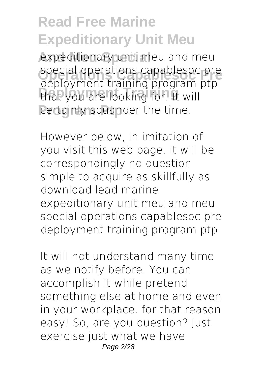expeditionary unit meu and meu **Operations Capablesoc Pre** special operations capablesoc pre **Deployment Training** that you are looking for. It will certainly squander the time. deployment training program ptp

However below, in imitation of you visit this web page, it will be correspondingly no question simple to acquire as skillfully as download lead marine expeditionary unit meu and meu special operations capablesoc pre deployment training program ptp

It will not understand many time as we notify before. You can accomplish it while pretend something else at home and even in your workplace. for that reason easy! So, are you question? Just exercise just what we have Page 2/28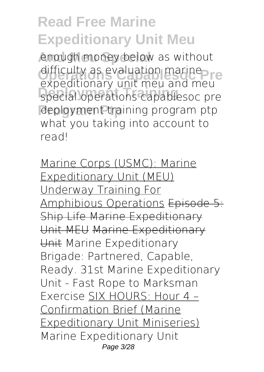enough money below as without difficulty as evaluation marine<br> **Oxpactionary unit may and may Deployment Training special operations capablesoc pre Program Ptp deployment training program ptp expeditionary unit meu and meu** what you taking into account to read!

Marine Corps (USMC): Marine Expeditionary Unit (MEU) Underway Training For Amphibious Operations Episode 5: Ship Life Marine Expeditionary Unit MEU Marine Expeditionary Unit *Marine Expeditionary Brigade: Partnered, Capable, Ready. 31st Marine Expeditionary Unit - Fast Rope to Marksman Exercise* SIX HOURS: Hour 4 – Confirmation Brief (Marine Expeditionary Unit Miniseries) *Marine Expeditionary Unit* Page 3/28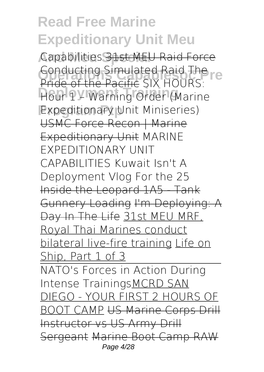**And Meu Special** *Capabilities* 31st MEU Raid Force **Conducting Simulated Raid The**<br>Pride of the Pacific CIV UOUDS **Deployment Training** *Hour 1 – Warning Order (Marine* **Program Ptp** *Expeditionary Unit Miniseries)* Pride of the Pacific *SIX HOURS:* USMC Force Recon | Marine Expeditionary Unit *MARINE EXPEDITIONARY UNIT CAPABILITIES Kuwait Isn't A Deployment Vlog For the 25* Inside the Leopard 1A5 - Tank Gunnery Loading I'm Deploying: A Day In The Life 31st MEU MRF, Royal Thai Marines conduct bilateral live-fire training Life on Ship, Part 1 of 3 NATO's Forces in Action During Intense TrainingsMCRD SAN DIEGO - YOUR FIRST 2 HOURS OF BOOT CAMP US Marine Corps Drill Instructor vs US Army Drill Sergeant Marine Boot Camp RAW Page 4/28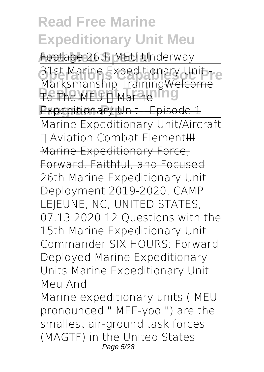**And Meu Special** Footage *26th MEU Underway* **Operationary Unit - Algebra**<br>Markomanghia Training Walsoma **To The MEU II Marine 19 Expeditionary Unit - Episode 1** Marksmanship TrainingWelcome Marine Expeditionary Unit/Aircraft **T** Aviation Combat Element H Marine Expeditionary Force; Forward, Faithful, and Focused *26th Marine Expeditionary Unit Deployment 2019-2020, CAMP LEJEUNE, NC, UNITED STATES, 07.13.2020* 12 Questions with the 15th Marine Expeditionary Unit Commander **SIX HOURS: Forward Deployed Marine Expeditionary Units** Marine Expeditionary Unit Meu And

Marine expeditionary units ( MEU, pronounced " MEE-yoo ") are the smallest air-ground task forces (MAGTF) in the United States Page 5/28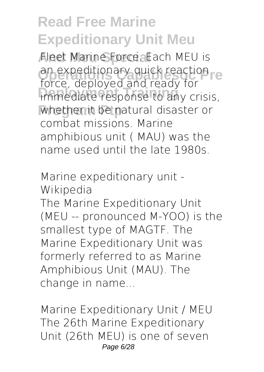**And Meu Special** Fleet Marine Force. Each MEU is **Operationary quick reaction**<br>Farse deployed and ready for **Interior Community Training** whether it be natural disaster or force, deployed and ready for combat missions. Marine amphibious unit ( MAU) was the name used until the late 1980s.

Marine expeditionary unit - Wikipedia

The Marine Expeditionary Unit (MEU -- pronounced M-YOO) is the smallest type of MAGTF. The Marine Expeditionary Unit was formerly referred to as Marine Amphibious Unit (MAU). The change in name...

Marine Expeditionary Unit / MEU The 26th Marine Expeditionary Unit (26th MEU) is one of seven Page 6/28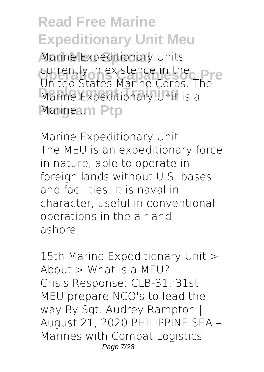Marine Expeditionary Units **Currently in existence in the Pre**<br>Linited States Marine Carne LRC **Define Expeditionary Unit is a Marineam Ptp** United States Marine Corps. The

Marine Expeditionary Unit The MEU is an expeditionary force in nature, able to operate in foreign lands without U.S. bases and facilities. It is naval in character, useful in conventional operations in the air and ashore,...

15th Marine Expeditionary Unit > About  $>$  What is a MEU? Crisis Response: CLB-31, 31st MEU prepare NCO's to lead the way By Sgt. Audrey Rampton | August 21, 2020 PHILIPPINE SEA – Marines with Combat Logistics Page 7/28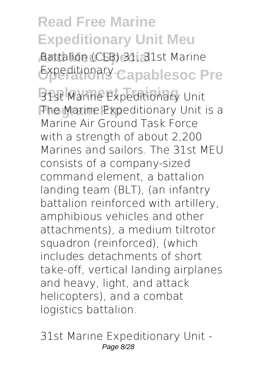**And Meu Special** Battalion (CLB) 31, 31st Marine **Expeditionary Capablesoc Pre** 

31st Marine Expeditionary Unit **The Marine Expeditionary Unit is a** Marine Air Ground Task Force with a strength of about 2,200 Marines and sailors. The 31st MEU consists of a company-sized command element, a battalion landing team (BLT), (an infantry battalion reinforced with artillery, amphibious vehicles and other attachments), a medium tiltrotor squadron (reinforced), (which includes detachments of short take-off, vertical landing airplanes and heavy, light, and attack helicopters), and a combat logistics battalion.

31st Marine Expeditionary Unit - Page 8/28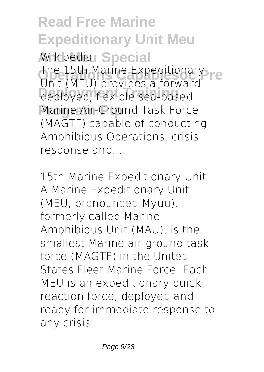**Read Free Marine Expeditionary Unit Meu** *Mikipedial* Special The 15th Marine Expeditionary<br>Thit (MELL provides a ferward **Deployment Training** deployed, flexible sea-based **Marine Air-Ground Task Force** Unit (MEU) provides a forward (MAGTF) capable of conducting Amphibious Operations, crisis response and...

15th Marine Expeditionary Unit A Marine Expeditionary Unit (MEU, pronounced Myuu), formerly called Marine Amphibious Unit (MAU), is the smallest Marine air-ground task force (MAGTF) in the United States Fleet Marine Force. Each MEU is an expeditionary quick reaction force, deployed and ready for immediate response to any crisis.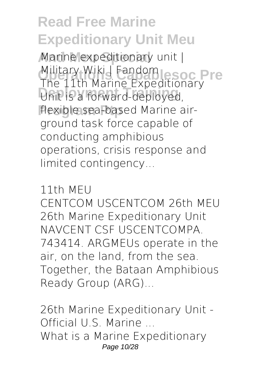Marine expeditionary unit | Military Wiki | Fandom<br>The 11th Marine Expeditions Pre **Deployment Training** Unit is a forward-deployed, **Program Ptp** flexible sea-based Marine air-The 11th Marine Expeditionary ground task force capable of conducting amphibious operations, crisis response and limited contingency...

#### 11th MEU

CENTCOM USCENTCOM 26th MEU 26th Marine Expeditionary Unit NAVCENT CSF USCENTCOMPA. 743414. ARGMEUs operate in the air, on the land, from the sea. Together, the Bataan Amphibious Ready Group (ARG)...

26th Marine Expeditionary Unit - Official U.S. Marine ... What is a Marine Expeditionary Page 10/28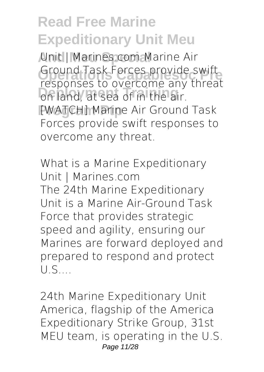**And Meu Special** Unit | Marines.com Marine Air Ground Task Forces provide swift<br>responses to overcome any threat **Depended to dependent any Program Ptp** [WATCH] Marine Air Ground Task Ground Task Forces provide swift Forces provide swift responses to overcome any threat.

What is a Marine Expeditionary Unit | Marines.com The 24th Marine Expeditionary Unit is a Marine Air-Ground Task Force that provides strategic speed and agility, ensuring our Marines are forward deployed and prepared to respond and protect U.S....

24th Marine Expeditionary Unit America, flagship of the America Expeditionary Strike Group, 31st MEU team, is operating in the U.S. Page 11/28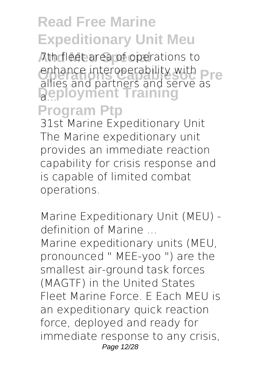**And Meu Special** 7th fleet area of operations to enhance interoperability with<br>allies and partners and serve Pre **Deployment Training Program Ptp** allies and partners and serve as a...

31st Marine Expeditionary Unit The Marine expeditionary unit provides an immediate reaction capability for crisis response and is capable of limited combat operations.

Marine Expeditionary Unit (MEU) definition of Marine ...

Marine expeditionary units (MEU, pronounced " MEE-yoo ") are the smallest air-ground task forces (MAGTF) in the United States Fleet Marine Force. E Each MEU is an expeditionary quick reaction force, deployed and ready for immediate response to any crisis, Page 12/28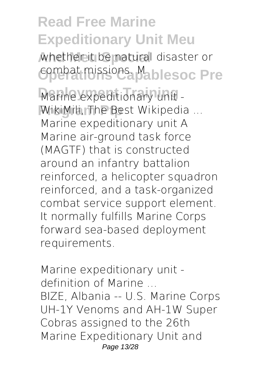whether it be natural disaster or combat missions. Mablesoc Pre

Marine expeditionary unit -WikiMili, The Best Wikipedia ... Marine expeditionary unit A Marine air-ground task force (MAGTF) that is constructed around an infantry battalion reinforced, a helicopter squadron reinforced, and a task-organized combat service support element. It normally fulfills Marine Corps forward sea-based deployment requirements.

Marine expeditionary unit definition of Marine ... BIZE, Albania -- U.S. Marine Corps UH-1Y Venoms and AH-1W Super Cobras assigned to the 26th Marine Expeditionary Unit and Page 13/28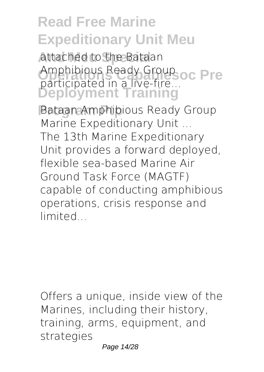attached to the Bataan Amphibious Ready Group<br> **Anationated in a live fixe OC Pre Deployment Training** participated in a live-fire...

**Bataan Amphibious Ready Group** Marine Expeditionary Unit ... The 13th Marine Expeditionary Unit provides a forward deployed, flexible sea-based Marine Air Ground Task Force (MAGTF) capable of conducting amphibious operations, crisis response and limited...

Offers a unique, inside view of the Marines, including their history, training, arms, equipment, and strategies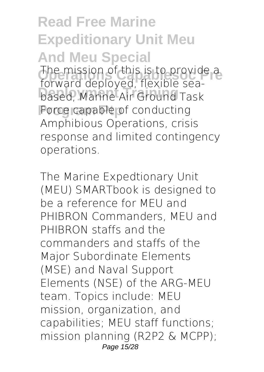**Read Free Marine Expeditionary Unit Meu And Meu Special** The mission of this is to provide a<br>**The mission of the floxible contract Deployment Training** based, Marine Air Ground Task **Porce capable of conducting** forward deployed, flexible sea-Amphibious Operations, crisis response and limited contingency operations.

The Marine Expedtionary Unit (MEU) SMARTbook is designed to be a reference for MEU and PHIBRON Commanders, MEU and PHIBRON staffs and the commanders and staffs of the Major Subordinate Elements (MSE) and Naval Support Elements (NSE) of the ARG-MEU team. Topics include: MEU mission, organization, and capabilities; MEU staff functions; mission planning (R2P2 & MCPP); Page 15/28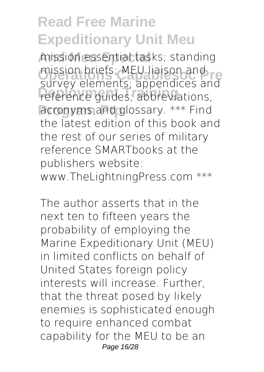**And Meu Special** mission essential tasks; standing mission briefs; MEU liaison and<br>Clinicul plaments; annondisce and **Deployment Training** reference guides; abbreviations, acronyms and glossary. \*\*\* Find survey elements; appendices and the latest edition of this book and the rest of our series of military reference SMARTbooks at the publishers website: www.TheLightningPress.com \*\*\*

The author asserts that in the next ten to fifteen years the probability of employing the Marine Expeditionary Unit (MEU) in limited conflicts on behalf of United States foreign policy interests will increase. Further, that the threat posed by likely enemies is sophisticated enough to require enhanced combat capability for the MEU to be an Page 16/28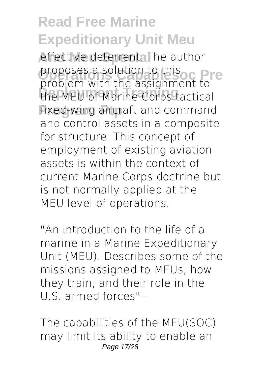effective deterrent. The author proposes a solution to this <sub>of</sub> **Pre**<br>problem with the assignment to **Deployment Training** the MEU of Marine Corps tactical fixed-wing aircraft and command proposes a solution to this and control assets in a composite for structure. This concept of employment of existing aviation assets is within the context of current Marine Corps doctrine but is not normally applied at the MEU level of operations.

"An introduction to the life of a marine in a Marine Expeditionary Unit (MEU). Describes some of the missions assigned to MEUs, how they train, and their role in the U.S. armed forces"--

The capabilities of the MEU(SOC) may limit its ability to enable an Page 17/28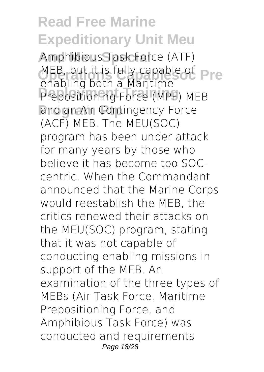**And Meu Special** Amphibious Task Force (ATF) MEB, but it is fully capable of **Pre Deployment Training** Prepositioning Force (MPF) MEB and an Air Contingency Force enabling both a Maritime (ACF) MEB. The MEU(SOC) program has been under attack for many years by those who believe it has become too SOCcentric. When the Commandant announced that the Marine Corps would reestablish the MEB, the critics renewed their attacks on the MEU(SOC) program, stating that it was not capable of conducting enabling missions in support of the MEB. An examination of the three types of MEBs (Air Task Force, Maritime Prepositioning Force, and Amphibious Task Force) was conducted and requirements Page 18/28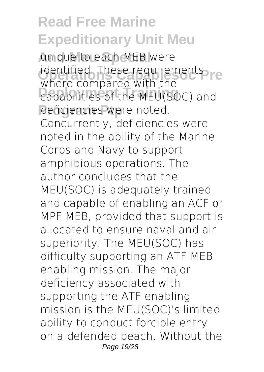**unique to each MEB were** identified. These requirements re **Deployment Training** capabilities of the MEU(SOC) and deficiencies were noted. where compared with the Concurrently, deficiencies were noted in the ability of the Marine Corps and Navy to support amphibious operations. The author concludes that the MEU(SOC) is adequately trained and capable of enabling an ACF or MPF MEB, provided that support is allocated to ensure naval and air superiority. The MEU(SOC) has difficulty supporting an ATF MEB enabling mission. The major deficiency associated with supporting the ATF enabling mission is the MEU(SOC)'s limited ability to conduct forcible entry on a defended beach. Without the Page 19/28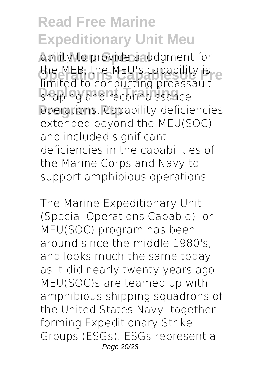ability to provide a lodgment for the MEB, the MEU's capability is<br>limited to conducting preaccoult **Deployment Training** shaping and reconnaissance operations. Capability deficiencies limited to conducting preassault extended beyond the MEU(SOC) and included significant deficiencies in the capabilities of the Marine Corps and Navy to support amphibious operations.

The Marine Expeditionary Unit (Special Operations Capable), or MEU(SOC) program has been around since the middle 1980's, and looks much the same today as it did nearly twenty years ago. MEU(SOC)s are teamed up with amphibious shipping squadrons of the United States Navy, together forming Expeditionary Strike Groups (ESGs). ESGs represent a Page 20/28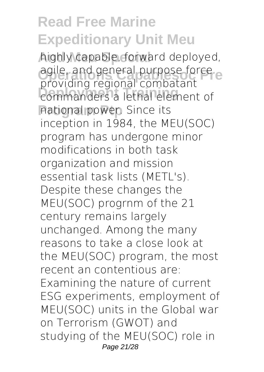highly capable, forward deployed, *Operations Capables agile, and general purpose force* **Deployment Training** commanders a lethal element of **Program Ptp** national power. Since its providing regional combatant inception in 1984, the MEU(SOC) program has undergone minor modifications in both task organization and mission essential task lists (METL's). Despite these changes the MEU(SOC) progrnm of the 21 century remains largely unchanged. Among the many reasons to take a close look at the MEU(SOC) program, the most recent an contentious are: Examining the nature of current ESG experiments, employment of MEU(SOC) units in the Global war on Terrorism (GWOT) and studying of the MEU(SOC) role in Page 21/28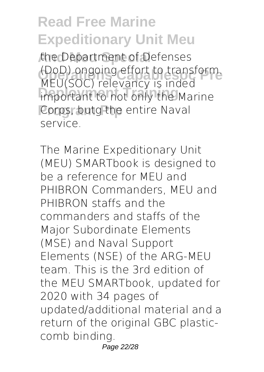the Department of Defenses (DoD) ongoing effort to transform.<br>MELICOC) relevancy is inded **Indianal Training Training Corps, butg the entire Naval** MEU(SOC) relevancy is inded service.

The Marine Expeditionary Unit (MEU) SMARTbook is designed to be a reference for MEU and PHIBRON Commanders, MEU and PHIBRON staffs and the commanders and staffs of the Major Subordinate Elements (MSE) and Naval Support Elements (NSE) of the ARG-MEU team. This is the 3rd edition of the MEU SMARTbook, updated for 2020 with 34 pages of updated/additional material and a return of the original GBC plasticcomb binding. Page 22/28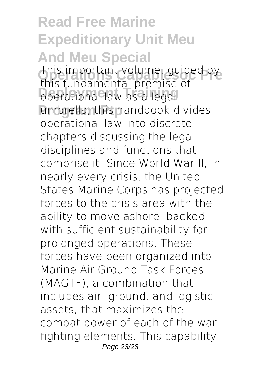**Read Free Marine Expeditionary Unit Meu And Meu Special** This important volume, guided by<br>this fundamental premise of **operational law as a legal** umbrella, this handbook divides this fundamental premise of operational law into discrete chapters discussing the legal disciplines and functions that comprise it. Since World War II, in nearly every crisis, the United States Marine Corps has projected forces to the crisis area with the ability to move ashore, backed with sufficient sustainability for prolonged operations. These forces have been organized into Marine Air Ground Task Forces (MAGTF), a combination that includes air, ground, and logistic assets, that maximizes the combat power of each of the war fighting elements. This capability Page 23/28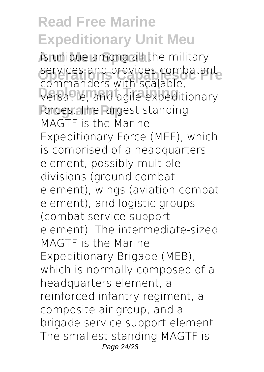is unique among all the military services and provides combatant **Deployment Training** versatile, and agile expeditionary forces. The largest standing commanders with scalable, MAGTF is the Marine Expeditionary Force (MEF), which is comprised of a headquarters element, possibly multiple divisions (ground combat element), wings (aviation combat element), and logistic groups (combat service support element). The intermediate-sized MAGTF is the Marine Expeditionary Brigade (MEB), which is normally composed of a headquarters element, a reinforced infantry regiment, a composite air group, and a brigade service support element. The smallest standing MAGTF is Page 24/28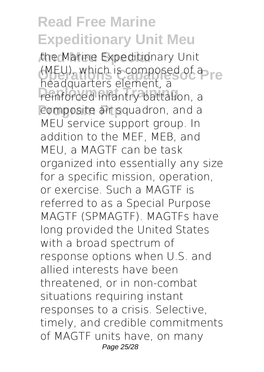**And Meu Special** the Marine Expeditionary Unit **(MEU), which is composed of a re Deployment Training** reinforced infantry battalion, a composite air squadron, and a headquarters element, a MEU service support group. In addition to the MEF, MEB, and MEU, a MAGTF can be task organized into essentially any size for a specific mission, operation, or exercise. Such a MAGTF is referred to as a Special Purpose MAGTF (SPMAGTF). MAGTFs have long provided the United States with a broad spectrum of response options when U.S. and allied interests have been threatened, or in non-combat situations requiring instant responses to a crisis. Selective, timely, and credible commitments of MAGTF units have, on many Page 25/28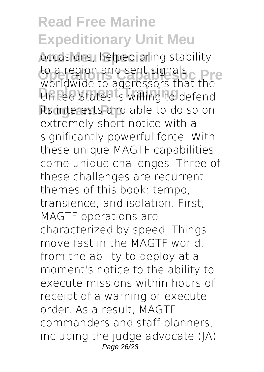**And Meu Special** occasions, helped bring stability to a region and sent signals<br>werklunde to aggresses that the **Deployment Training** United States is willing to defend its interests and able to do so on worldwide to aggressors that the extremely short notice with a significantly powerful force. With these unique MAGTF capabilities come unique challenges. Three of these challenges are recurrent themes of this book: tempo, transience, and isolation. First, MAGTF operations are characterized by speed. Things move fast in the MAGTF world, from the ability to deploy at a moment's notice to the ability to execute missions within hours of receipt of a warning or execute order. As a result, MAGTF commanders and staff planners, including the judge advocate (JA), Page 26/28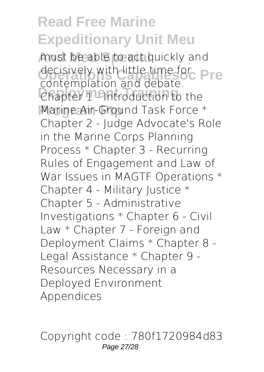must be able to act quickly and decisively with little time for **Pre Chapter 1 - Introduction to the** Marine Air-Ground Task Force \* contemplation and debate. Chapter 2 - Judge Advocate's Role in the Marine Corps Planning Process \* Chapter 3 - Recurring Rules of Engagement and Law of War Issues in MAGTF Operations \* Chapter 4 - Military Justice \* Chapter 5 - Administrative Investigations \* Chapter 6 - Civil Law \* Chapter 7 - Foreign and Deployment Claims \* Chapter 8 - Legal Assistance \* Chapter 9 - Resources Necessary in a Deployed Environment Appendices

Copyright code : 780f1720984d83 Page 27/28